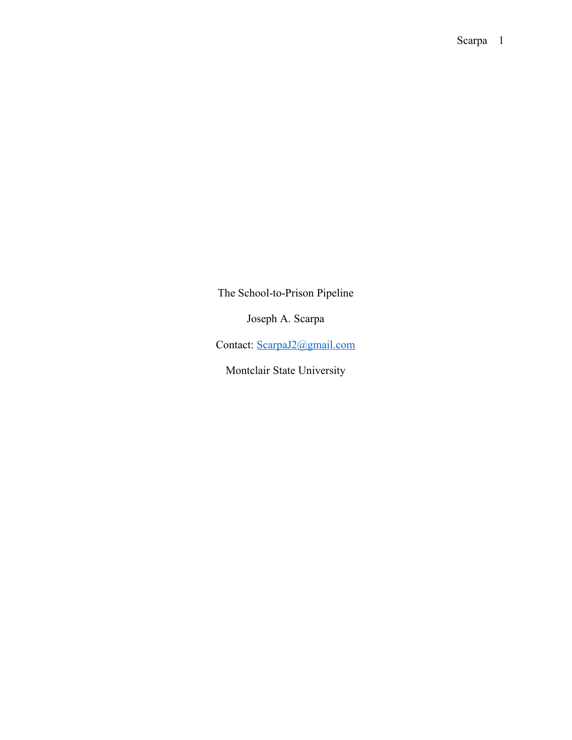The School-to-Prison Pipeline

Joseph A. Scarpa

Contact: ScarpaJ2@gmail.com

Montclair State University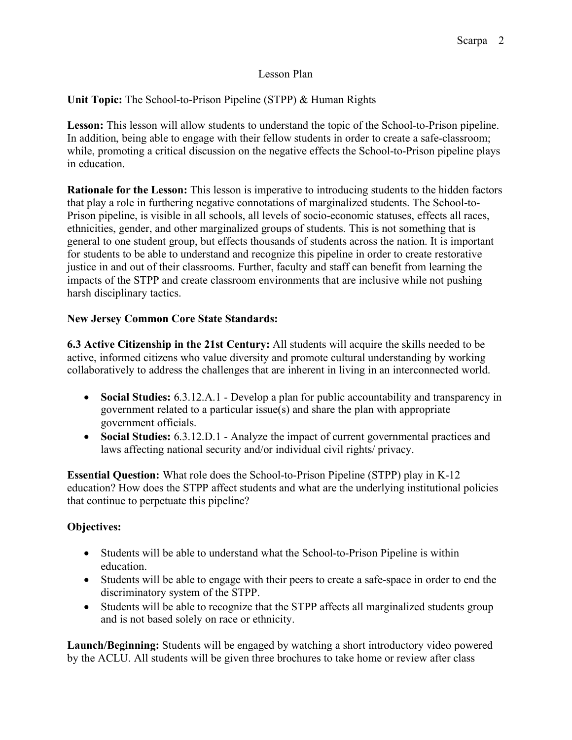#### Lesson Plan

**Unit Topic:** The School-to-Prison Pipeline (STPP) & Human Rights

**Lesson:** This lesson will allow students to understand the topic of the School-to-Prison pipeline. In addition, being able to engage with their fellow students in order to create a safe-classroom; while, promoting a critical discussion on the negative effects the School-to-Prison pipeline plays in education.

**Rationale for the Lesson:** This lesson is imperative to introducing students to the hidden factors that play a role in furthering negative connotations of marginalized students. The School-to-Prison pipeline, is visible in all schools, all levels of socio-economic statuses, effects all races, ethnicities, gender, and other marginalized groups of students. This is not something that is general to one student group, but effects thousands of students across the nation. It is important for students to be able to understand and recognize this pipeline in order to create restorative justice in and out of their classrooms. Further, faculty and staff can benefit from learning the impacts of the STPP and create classroom environments that are inclusive while not pushing harsh disciplinary tactics.

## **New Jersey Common Core State Standards:**

**6.3 Active Citizenship in the 21st Century:** All students will acquire the skills needed to be active, informed citizens who value diversity and promote cultural understanding by working collaboratively to address the challenges that are inherent in living in an interconnected world.

- **Social Studies:** 6.3.12.A.1 Develop a plan for public accountability and transparency in government related to a particular issue(s) and share the plan with appropriate government officials.
- **Social Studies:** 6.3.12.D.1 Analyze the impact of current governmental practices and laws affecting national security and/or individual civil rights/ privacy.

**Essential Question:** What role does the School-to-Prison Pipeline (STPP) play in K-12 education? How does the STPP affect students and what are the underlying institutional policies that continue to perpetuate this pipeline?

# **Objectives:**

- Students will be able to understand what the School-to-Prison Pipeline is within education.
- Students will be able to engage with their peers to create a safe-space in order to end the discriminatory system of the STPP.
- Students will be able to recognize that the STPP affects all marginalized students group and is not based solely on race or ethnicity.

**Launch/Beginning:** Students will be engaged by watching a short introductory video powered by the ACLU. All students will be given three brochures to take home or review after class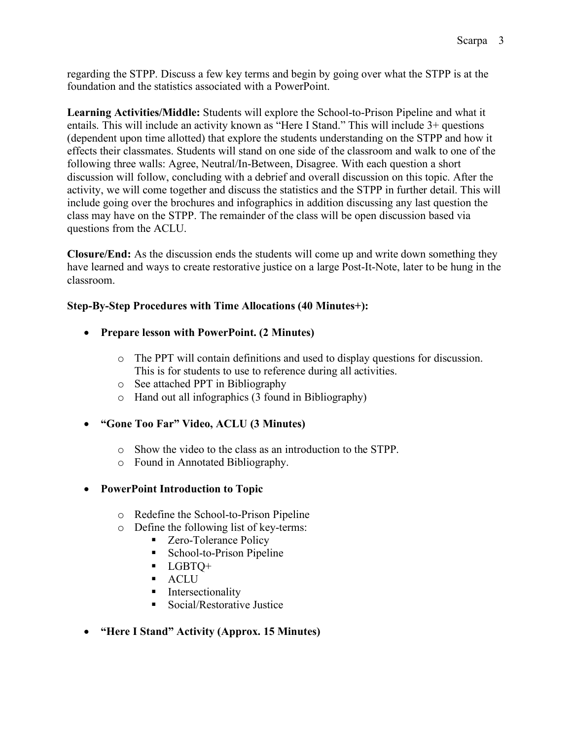regarding the STPP. Discuss a few key terms and begin by going over what the STPP is at the foundation and the statistics associated with a PowerPoint.

**Learning Activities/Middle:** Students will explore the School-to-Prison Pipeline and what it entails. This will include an activity known as "Here I Stand." This will include 3+ questions (dependent upon time allotted) that explore the students understanding on the STPP and how it effects their classmates. Students will stand on one side of the classroom and walk to one of the following three walls: Agree, Neutral/In-Between, Disagree. With each question a short discussion will follow, concluding with a debrief and overall discussion on this topic. After the activity, we will come together and discuss the statistics and the STPP in further detail. This will include going over the brochures and infographics in addition discussing any last question the class may have on the STPP. The remainder of the class will be open discussion based via questions from the ACLU.

**Closure/End:** As the discussion ends the students will come up and write down something they have learned and ways to create restorative justice on a large Post-It-Note, later to be hung in the classroom.

## **Step-By-Step Procedures with Time Allocations (40 Minutes+):**

- **Prepare lesson with PowerPoint. (2 Minutes)**
	- o The PPT will contain definitions and used to display questions for discussion. This is for students to use to reference during all activities.
	- o See attached PPT in Bibliography
	- o Hand out all infographics (3 found in Bibliography)
- **"Gone Too Far" Video, ACLU (3 Minutes)**
	- o Show the video to the class as an introduction to the STPP.
	- o Found in Annotated Bibliography.

### • **PowerPoint Introduction to Topic**

- o Redefine the School-to-Prison Pipeline
- o Define the following list of key-terms:
	- Zero-Tolerance Policy
	- School-to-Prison Pipeline
	- § LGBTQ+
	- § ACLU
	- Intersectionality
	- § Social/Restorative Justice

### • **"Here I Stand" Activity (Approx. 15 Minutes)**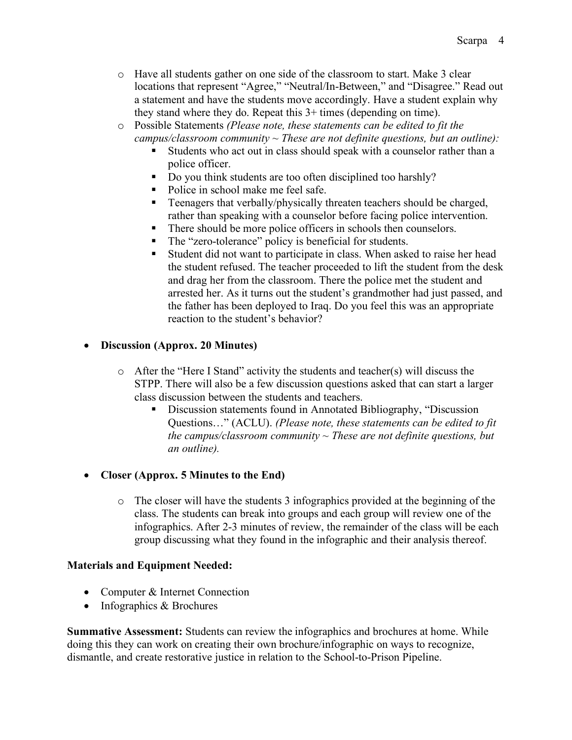- o Have all students gather on one side of the classroom to start. Make 3 clear locations that represent "Agree," "Neutral/In-Between," and "Disagree." Read out a statement and have the students move accordingly. Have a student explain why they stand where they do. Repeat this 3+ times (depending on time).
- o Possible Statements *(Please note, these statements can be edited to fit the campus/classroom community ~ These are not definite questions, but an outline):*
	- § Students who act out in class should speak with a counselor rather than a police officer.
	- Do you think students are too often disciplined too harshly?
	- Police in school make me feel safe.
	- Teenagers that verbally/physically threaten teachers should be charged, rather than speaking with a counselor before facing police intervention.
	- There should be more police officers in schools then counselors.
	- The "zero-tolerance" policy is beneficial for students.
	- Student did not want to participate in class. When asked to raise her head the student refused. The teacher proceeded to lift the student from the desk and drag her from the classroom. There the police met the student and arrested her. As it turns out the student's grandmother had just passed, and the father has been deployed to Iraq. Do you feel this was an appropriate reaction to the student's behavior?

### • **Discussion (Approx. 20 Minutes)**

- o After the "Here I Stand" activity the students and teacher(s) will discuss the STPP. There will also be a few discussion questions asked that can start a larger class discussion between the students and teachers.
	- § Discussion statements found in Annotated Bibliography, "Discussion Questions…" (ACLU). *(Please note, these statements can be edited to fit the campus/classroom community ~ These are not definite questions, but an outline).*

# • **Closer (Approx. 5 Minutes to the End)**

o The closer will have the students 3 infographics provided at the beginning of the class. The students can break into groups and each group will review one of the infographics. After 2-3 minutes of review, the remainder of the class will be each group discussing what they found in the infographic and their analysis thereof.

### **Materials and Equipment Needed:**

- Computer & Internet Connection
- Infographics & Brochures

**Summative Assessment:** Students can review the infographics and brochures at home. While doing this they can work on creating their own brochure/infographic on ways to recognize, dismantle, and create restorative justice in relation to the School-to-Prison Pipeline.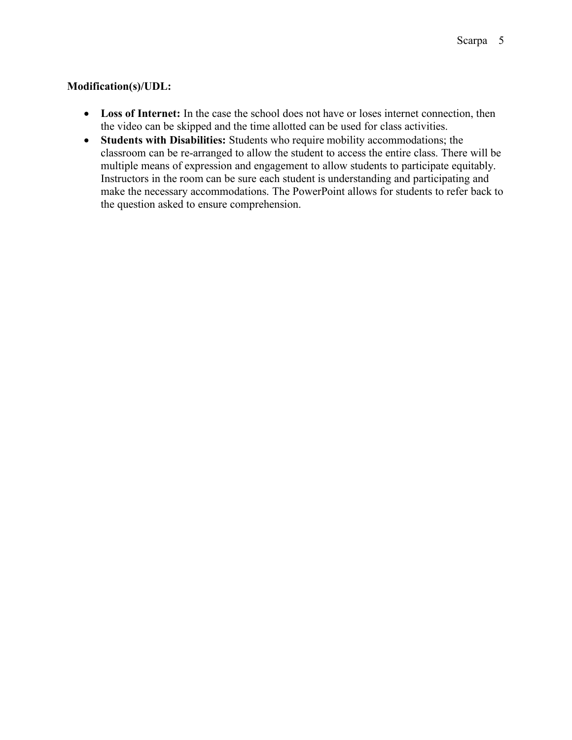#### **Modification(s)/UDL:**

- Loss of Internet: In the case the school does not have or loses internet connection, then the video can be skipped and the time allotted can be used for class activities.
- **Students with Disabilities:** Students who require mobility accommodations; the classroom can be re-arranged to allow the student to access the entire class. There will be multiple means of expression and engagement to allow students to participate equitably. Instructors in the room can be sure each student is understanding and participating and make the necessary accommodations. The PowerPoint allows for students to refer back to the question asked to ensure comprehension.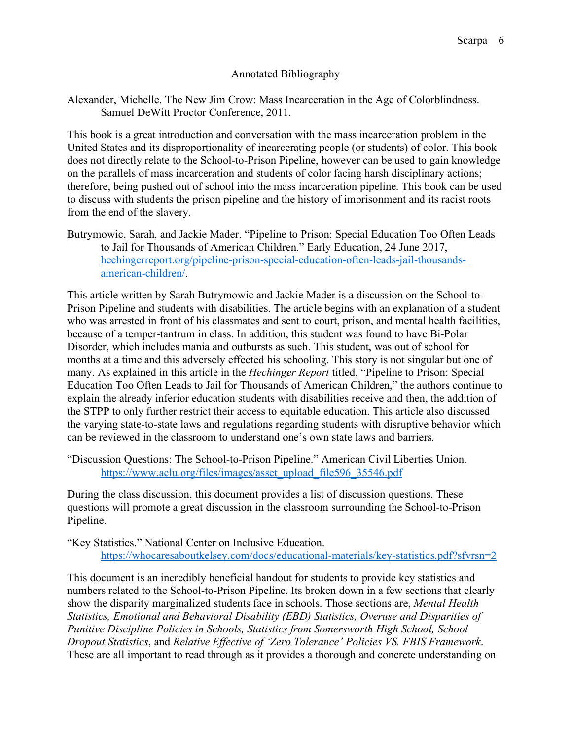#### Annotated Bibliography

Alexander, Michelle. The New Jim Crow: Mass Incarceration in the Age of Colorblindness. Samuel DeWitt Proctor Conference, 2011.

This book is a great introduction and conversation with the mass incarceration problem in the United States and its disproportionality of incarcerating people (or students) of color. This book does not directly relate to the School-to-Prison Pipeline, however can be used to gain knowledge on the parallels of mass incarceration and students of color facing harsh disciplinary actions; therefore, being pushed out of school into the mass incarceration pipeline. This book can be used to discuss with students the prison pipeline and the history of imprisonment and its racist roots from the end of the slavery.

Butrymowic, Sarah, and Jackie Mader. "Pipeline to Prison: Special Education Too Often Leads to Jail for Thousands of American Children." Early Education, 24 June 2017, hechingerreport.org/pipeline-prison-special-education-often-leads-jail-thousandsamerican-children/.

This article written by Sarah Butrymowic and Jackie Mader is a discussion on the School-to-Prison Pipeline and students with disabilities. The article begins with an explanation of a student who was arrested in front of his classmates and sent to court, prison, and mental health facilities, because of a temper-tantrum in class. In addition, this student was found to have Bi-Polar Disorder, which includes mania and outbursts as such. This student, was out of school for months at a time and this adversely effected his schooling. This story is not singular but one of many. As explained in this article in the *Hechinger Report* titled, "Pipeline to Prison: Special Education Too Often Leads to Jail for Thousands of American Children," the authors continue to explain the already inferior education students with disabilities receive and then, the addition of the STPP to only further restrict their access to equitable education. This article also discussed the varying state-to-state laws and regulations regarding students with disruptive behavior which can be reviewed in the classroom to understand one's own state laws and barriers.

"Discussion Questions: The School-to-Prison Pipeline." American Civil Liberties Union. https://www.aclu.org/files/images/asset\_upload\_file596\_35546.pdf

During the class discussion, this document provides a list of discussion questions. These questions will promote a great discussion in the classroom surrounding the School-to-Prison Pipeline.

"Key Statistics." National Center on Inclusive Education. https://whocaresaboutkelsey.com/docs/educational-materials/key-statistics.pdf?sfvrsn=2

This document is an incredibly beneficial handout for students to provide key statistics and numbers related to the School-to-Prison Pipeline. Its broken down in a few sections that clearly show the disparity marginalized students face in schools. Those sections are, *Mental Health Statistics, Emotional and Behavioral Disability (EBD) Statistics, Overuse and Disparities of Punitive Discipline Policies in Schools, Statistics from Somersworth High School, School Dropout Statistics*, and *Relative Effective of 'Zero Tolerance' Policies VS. FBIS Framework*. These are all important to read through as it provides a thorough and concrete understanding on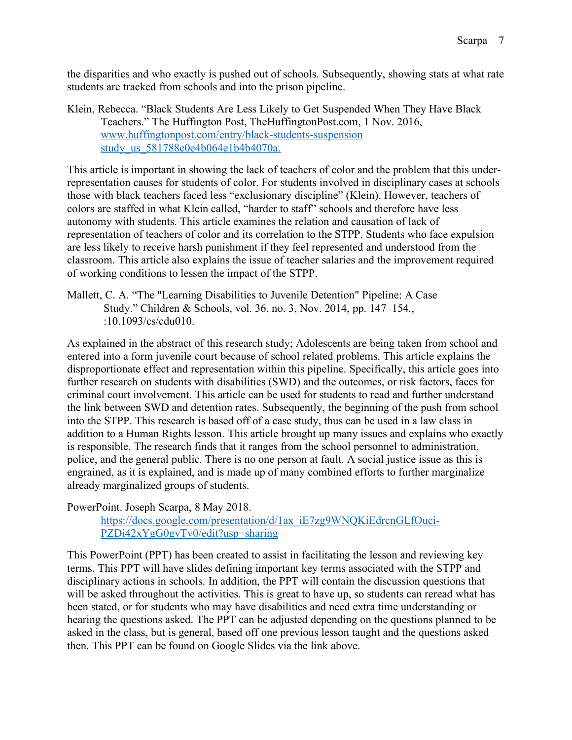the disparities and who exactly is pushed out of schools. Subsequently, showing stats at what rate students are tracked from schools and into the prison pipeline.

Klein, Rebecca. "Black Students Are Less Likely to Get Suspended When They Have Black Teachers." The Huffington Post, TheHuffingtonPost.com, 1 Nov. 2016, www.huffingtonpost.com/entry/black-students-suspension study\_us\_581788e0e4b064e1b4b4070a.

This article is important in showing the lack of teachers of color and the problem that this underrepresentation causes for students of color. For students involved in disciplinary cases at schools those with black teachers faced less "exclusionary discipline" (Klein). However, teachers of colors are staffed in what Klein called, "harder to staff" schools and therefore have less autonomy with students. This article examines the relation and causation of lack of representation of teachers of color and its correlation to the STPP. Students who face expulsion are less likely to receive harsh punishment if they feel represented and understood from the classroom. This article also explains the issue of teacher salaries and the improvement required of working conditions to lessen the impact of the STPP.

Mallett, C. A. "The "Learning Disabilities to Juvenile Detention" Pipeline: A Case Study." Children & Schools, vol. 36, no. 3, Nov. 2014, pp. 147–154., :10.1093/cs/cdu010.

As explained in the abstract of this research study; Adolescents are being taken from school and entered into a form juvenile court because of school related problems. This article explains the disproportionate effect and representation within this pipeline. Specifically, this article goes into further research on students with disabilities (SWD) and the outcomes, or risk factors, faces for criminal court involvement. This article can be used for students to read and further understand the link between SWD and detention rates. Subsequently, the beginning of the push from school into the STPP. This research is based off of a case study, thus can be used in a law class in addition to a Human Rights lesson. This article brought up many issues and explains who exactly is responsible. The research finds that it ranges from the school personnel to administration, police, and the general public. There is no one person at fault. A social justice issue as this is engrained, as it is explained, and is made up of many combined efforts to further marginalize already marginalized groups of students.

PowerPoint. Joseph Scarpa, 8 May 2018.

https://docs.google.com/presentation/d/1ax\_iE7zg9WNQKiEdrcnGLfOuci-PZDi42xYgG0gvTv0/edit?usp=sharing

This PowerPoint (PPT) has been created to assist in facilitating the lesson and reviewing key terms. This PPT will have slides defining important key terms associated with the STPP and disciplinary actions in schools. In addition, the PPT will contain the discussion questions that will be asked throughout the activities. This is great to have up, so students can reread what has been stated, or for students who may have disabilities and need extra time understanding or hearing the questions asked. The PPT can be adjusted depending on the questions planned to be asked in the class, but is general, based off one previous lesson taught and the questions asked then. This PPT can be found on Google Slides via the link above.